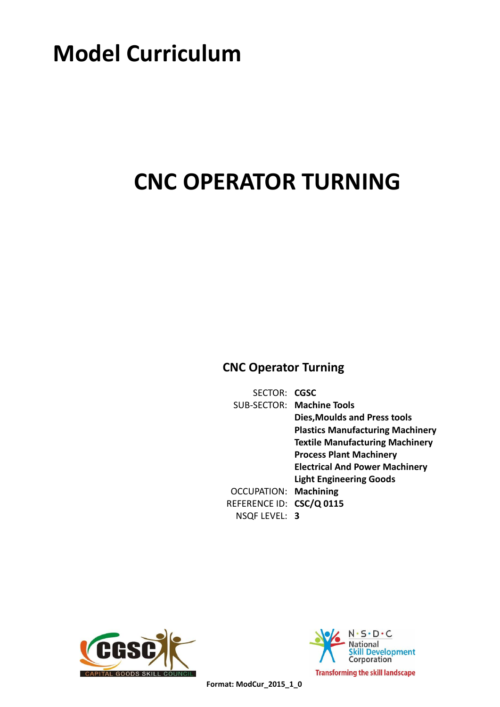# **Model Curriculum**

# **CNC OPERATOR TURNING**

## **CNC Operator Turning**

SECTOR: **CGSC** SUB-SECTOR: Machine Tools **Dies,Moulds and Press tools Plastics Manufacturing Machinery Textile Manufacturing Machinery Process Plant Machinery Electrical And Power Machinery Light Engineering Goods OCCUPATION: Machining** REFERENCE ID: CSC/Q 0115 **3** NSQF LEVEL:





 **Format: ModCur\_2015\_1\_0**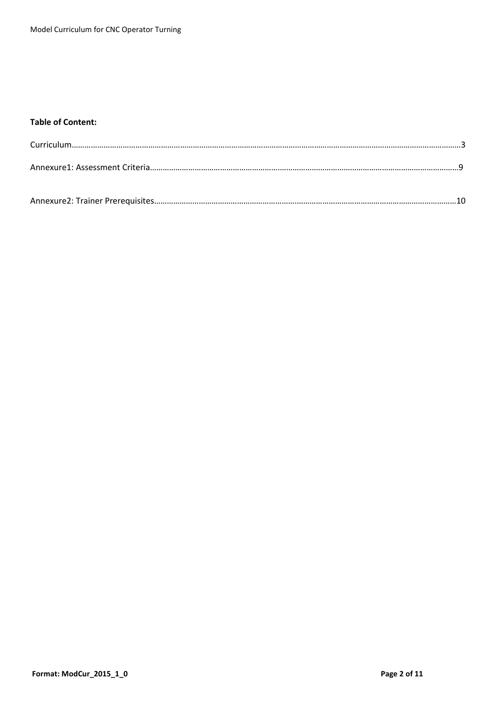### **Table of Content:**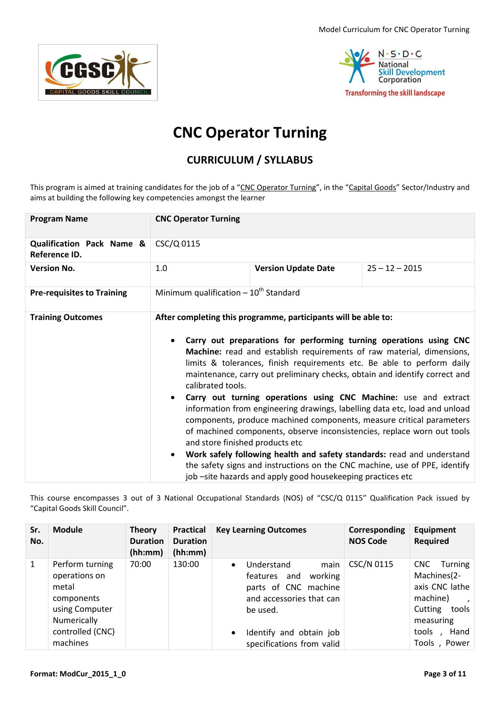Model Curriculum for CNC Operator Turning





## **CNC Operator Turning**

### **CURRICULUM / SYLLABUS**

This program is aimed at training candidates for the job of a "CNC Operator Turning", in the "Capital Goods" Sector/Industry and aims at building the following key competencies amongst the learner

| <b>Program Name</b>                                   | <b>CNC Operator Turning</b>                                                                                                                                                                                                                                                                                                                                                                                                                                                                                                                                                                                                                                                                                                                                                                                                                                                                            |  |  |  |  |
|-------------------------------------------------------|--------------------------------------------------------------------------------------------------------------------------------------------------------------------------------------------------------------------------------------------------------------------------------------------------------------------------------------------------------------------------------------------------------------------------------------------------------------------------------------------------------------------------------------------------------------------------------------------------------------------------------------------------------------------------------------------------------------------------------------------------------------------------------------------------------------------------------------------------------------------------------------------------------|--|--|--|--|
| <b>Qualification Pack Name &amp;</b><br>Reference ID. | CSC/Q 0115                                                                                                                                                                                                                                                                                                                                                                                                                                                                                                                                                                                                                                                                                                                                                                                                                                                                                             |  |  |  |  |
| <b>Version No.</b>                                    | 1.0<br>$25 - 12 - 2015$<br><b>Version Update Date</b>                                                                                                                                                                                                                                                                                                                                                                                                                                                                                                                                                                                                                                                                                                                                                                                                                                                  |  |  |  |  |
| <b>Pre-requisites to Training</b>                     | Minimum qualification $-10^{th}$ Standard                                                                                                                                                                                                                                                                                                                                                                                                                                                                                                                                                                                                                                                                                                                                                                                                                                                              |  |  |  |  |
| <b>Training Outcomes</b>                              | After completing this programme, participants will be able to:<br>Carry out preparations for performing turning operations using CNC<br>Machine: read and establish requirements of raw material, dimensions,<br>limits & tolerances, finish requirements etc. Be able to perform daily<br>maintenance, carry out preliminary checks, obtain and identify correct and<br>calibrated tools.<br>Carry out turning operations using CNC Machine: use and extract<br>information from engineering drawings, labelling data etc, load and unload<br>components, produce machined components, measure critical parameters<br>of machined components, observe inconsistencies, replace worn out tools<br>and store finished products etc<br>Work safely following health and safety standards: read and understand<br>$\bullet$<br>the safety signs and instructions on the CNC machine, use of PPE, identify |  |  |  |  |

This course encompasses 3 out of 3 National Occupational Standards (NOS) of "CSC/Q 0115" Qualification Pack issued by "Capital Goods Skill Council".

| Sr.<br>No. | <b>Module</b>                                                                                                            | <b>Theory</b><br><b>Duration</b><br>(hh:mm) | Practical<br><b>Duration</b><br>(hh:mm) | <b>Key Learning Outcomes</b>                                                                                                                                                                    | Corresponding<br><b>NOS Code</b> | Equipment<br><b>Required</b>                                                                                                         |
|------------|--------------------------------------------------------------------------------------------------------------------------|---------------------------------------------|-----------------------------------------|-------------------------------------------------------------------------------------------------------------------------------------------------------------------------------------------------|----------------------------------|--------------------------------------------------------------------------------------------------------------------------------------|
| 1          | Perform turning<br>operations on<br>metal<br>components<br>using Computer<br>Numerically<br>controlled (CNC)<br>machines | 70:00                                       | 130:00                                  | Understand<br>main<br>$\bullet$<br>working<br>features and<br>parts of CNC machine<br>and accessories that can<br>be used.<br>Identify and obtain job<br>$\bullet$<br>specifications from valid | CSC/N 0115                       | <b>CNC</b><br>Turning<br>Machines(2-<br>axis CNC lathe<br>machine)<br>Cutting<br>tools<br>measuring<br>Hand<br>tools<br>Tools, Power |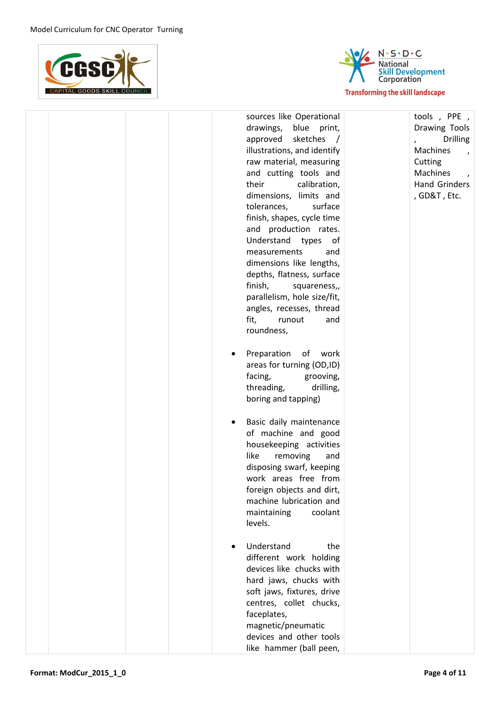



|  | sources like Operational<br>drawings, blue print,<br>approved sketches<br>$\sqrt{ }$<br>illustrations, and identify<br>raw material, measuring<br>and cutting tools and<br>their<br>calibration,<br>dimensions, limits and<br>tolerances,<br>surface<br>finish, shapes, cycle time<br>and production rates.<br>Understand types<br>of<br>measurements<br>and<br>dimensions like lengths,<br>depths, flatness, surface<br>finish,<br>squareness,,<br>parallelism, hole size/fit,<br>angles, recesses, thread<br>fit,<br>runout<br>and<br>roundness,<br>Preparation of work<br>areas for turning (OD,ID)<br>facing,<br>grooving,<br>threading,<br>drilling,<br>boring and tapping)<br>Basic daily maintenance<br>of machine and good<br>housekeeping activities<br>like<br>removing<br>and<br>disposing swarf, keeping<br>work areas free from<br>foreign objects and dirt,<br>machine lubrication and<br>coolant<br>maintaining<br>levels. | tools, PPE,<br>Drawing Tools<br><b>Drilling</b><br>Machines<br>$\overline{ }$<br>Cutting<br>Machines<br>$\lambda$<br>Hand Grinders<br>, GD&T, Etc. |
|--|-------------------------------------------------------------------------------------------------------------------------------------------------------------------------------------------------------------------------------------------------------------------------------------------------------------------------------------------------------------------------------------------------------------------------------------------------------------------------------------------------------------------------------------------------------------------------------------------------------------------------------------------------------------------------------------------------------------------------------------------------------------------------------------------------------------------------------------------------------------------------------------------------------------------------------------------|----------------------------------------------------------------------------------------------------------------------------------------------------|
|  | Understand<br>the<br>different work holding<br>devices like chucks with<br>hard jaws, chucks with<br>soft jaws, fixtures, drive<br>centres, collet chucks,<br>faceplates,<br>magnetic/pneumatic<br>devices and other tools<br>like hammer (ball peen,                                                                                                                                                                                                                                                                                                                                                                                                                                                                                                                                                                                                                                                                                     |                                                                                                                                                    |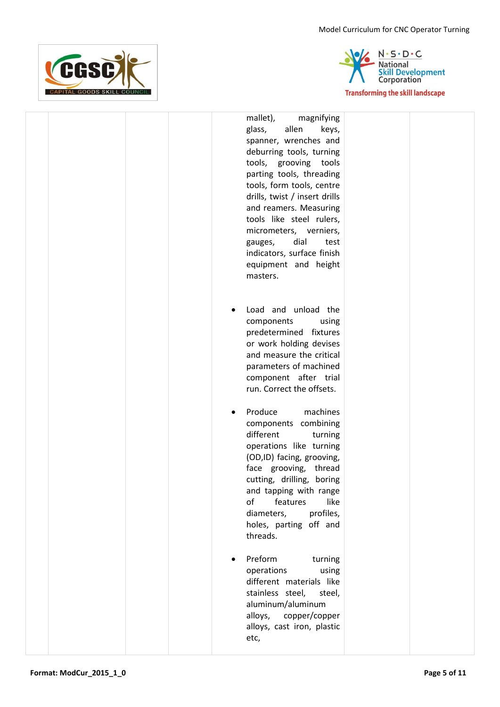Model Curriculum for CNC Operator Turning





|  |  | mallet),<br>magnifying<br>glass,<br>allen<br>keys,<br>spanner, wrenches and<br>deburring tools, turning<br>tools, grooving tools<br>parting tools, threading<br>tools, form tools, centre<br>drills, twist / insert drills<br>and reamers. Measuring<br>tools like steel rulers,<br>micrometers, verniers,<br>dial<br>test<br>gauges,<br>indicators, surface finish<br>equipment and height<br>masters. |  |
|--|--|---------------------------------------------------------------------------------------------------------------------------------------------------------------------------------------------------------------------------------------------------------------------------------------------------------------------------------------------------------------------------------------------------------|--|
|  |  | Load and unload the<br>components<br>using<br>predetermined fixtures<br>or work holding devises<br>and measure the critical<br>parameters of machined<br>component after trial<br>run. Correct the offsets.                                                                                                                                                                                             |  |
|  |  | Produce<br>machines<br>components combining<br>different<br>turning<br>operations like turning<br>(OD,ID) facing, grooving,<br>face grooving,<br>thread<br>cutting, drilling, boring<br>and tapping with range<br>of<br>like<br>features<br>profiles,<br>diameters,<br>holes, parting off and<br>threads.                                                                                               |  |
|  |  | Preform<br>turning<br>operations<br>using<br>different materials like<br>stainless steel,<br>steel,<br>aluminum/aluminum<br>alloys, copper/copper<br>alloys, cast iron, plastic<br>etc,                                                                                                                                                                                                                 |  |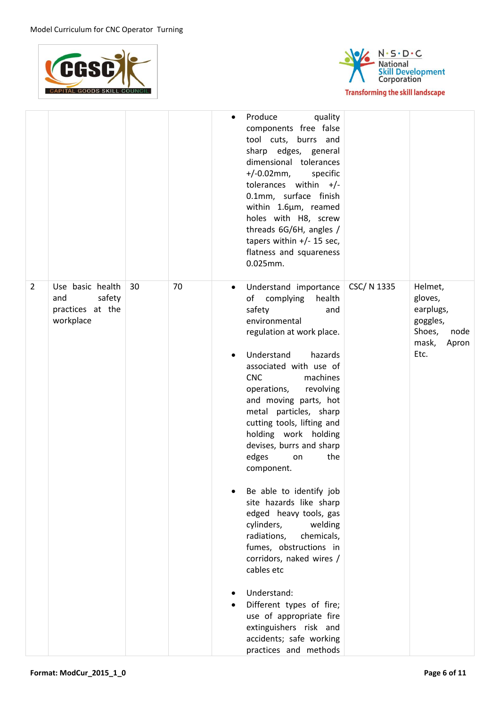



|   |                                                                    |    |    | $\bullet$              | Produce<br>quality<br>components free false<br>tool cuts, burrs and<br>sharp edges, general<br>dimensional tolerances<br>+/-0.02mm,<br>specific<br>tolerances within $+/-$<br>0.1mm, surface finish<br>within 1.6µm, reamed<br>holes with H8, screw<br>threads 6G/6H, angles /<br>tapers within +/- 15 sec,<br>flatness and squareness<br>$0.025$ mm.                                                                                                                                                                                                                                                                                                                                                                                                          |             |                                                                                         |
|---|--------------------------------------------------------------------|----|----|------------------------|----------------------------------------------------------------------------------------------------------------------------------------------------------------------------------------------------------------------------------------------------------------------------------------------------------------------------------------------------------------------------------------------------------------------------------------------------------------------------------------------------------------------------------------------------------------------------------------------------------------------------------------------------------------------------------------------------------------------------------------------------------------|-------------|-----------------------------------------------------------------------------------------|
| 2 | Use basic health<br>and<br>safety<br>practices at the<br>workplace | 30 | 70 | $\bullet$<br>$\bullet$ | Understand importance<br>of complying<br>health<br>safety<br>and<br>environmental<br>regulation at work place.<br>Understand<br>hazards<br>associated with use of<br><b>CNC</b><br>machines<br>operations,<br>revolving<br>and moving parts, hot<br>metal particles, sharp<br>cutting tools, lifting and<br>holding work holding<br>devises, burrs and sharp<br>edges<br>the<br>on<br>component.<br>Be able to identify job<br>site hazards like sharp<br>edged heavy tools, gas<br>cylinders,<br>welding<br>chemicals,<br>radiations,<br>fumes, obstructions in<br>corridors, naked wires /<br>cables etc<br>Understand:<br>Different types of fire;<br>use of appropriate fire<br>extinguishers risk and<br>accidents; safe working<br>practices and methods | CSC/ N 1335 | Helmet,<br>gloves,<br>earplugs,<br>goggles,<br>Shoes,<br>node<br>mask,<br>Apron<br>Etc. |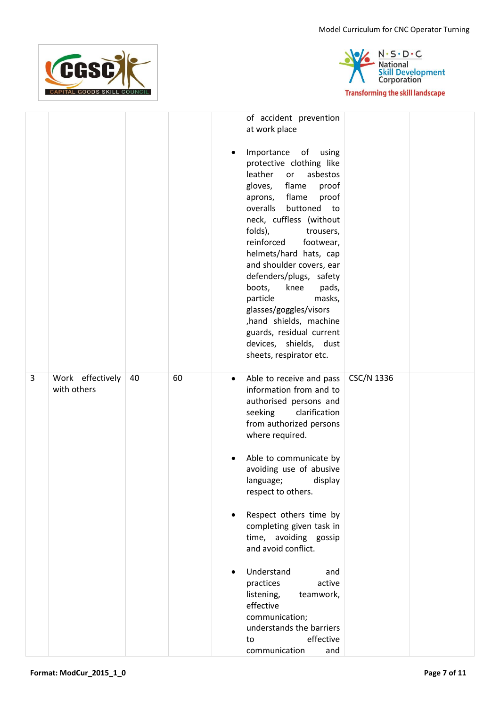



|   |                                 |    |    | $\bullet$ | of accident prevention<br>at work place<br>Importance<br>of<br>using<br>protective clothing like<br>leather<br>asbestos<br>or<br>flame<br>gloves,<br>proof<br>aprons, flame<br>proof<br>overalls buttoned to<br>neck, cuffless (without<br>folds),<br>trousers,<br>reinforced<br>footwear,<br>helmets/hard hats, cap |            |  |
|---|---------------------------------|----|----|-----------|----------------------------------------------------------------------------------------------------------------------------------------------------------------------------------------------------------------------------------------------------------------------------------------------------------------------|------------|--|
|   |                                 |    |    |           | and shoulder covers, ear<br>defenders/plugs, safety<br>boots,<br>knee<br>pads,<br>particle<br>masks,<br>glasses/goggles/visors                                                                                                                                                                                       |            |  |
|   |                                 |    |    |           | ,hand shields, machine<br>guards, residual current<br>devices, shields, dust<br>sheets, respirator etc.                                                                                                                                                                                                              |            |  |
| 3 | Work effectively<br>with others | 40 | 60 | $\bullet$ | Able to receive and pass<br>information from and to<br>authorised persons and<br>clarification<br>seeking<br>from authorized persons<br>where required.                                                                                                                                                              | CSC/N 1336 |  |
|   |                                 |    |    | ٠         | Able to communicate by<br>avoiding use of abusive<br>display<br>language;<br>respect to others.                                                                                                                                                                                                                      |            |  |
|   |                                 |    |    | $\bullet$ | Respect others time by<br>completing given task in<br>time, avoiding gossip<br>and avoid conflict.                                                                                                                                                                                                                   |            |  |
|   |                                 |    |    | $\bullet$ | Understand<br>and<br>active<br>practices<br>listening,<br>teamwork,<br>effective<br>communication;<br>understands the barriers<br>effective<br>to<br>communication<br>and                                                                                                                                            |            |  |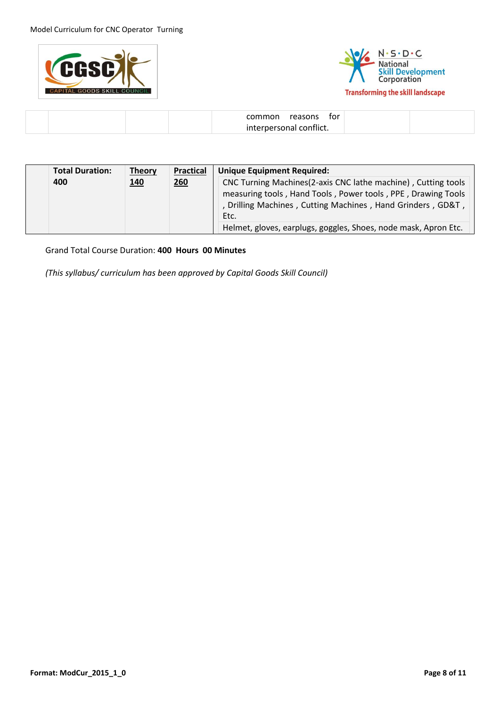



| interpersonal conflict. |  |
|-------------------------|--|

| <b>Total Duration:</b> | <b>Theory</b> | <b>Practical</b> | <b>Unique Equipment Required:</b>                                                                                                                                                                    |
|------------------------|---------------|------------------|------------------------------------------------------------------------------------------------------------------------------------------------------------------------------------------------------|
| 400                    | <u>140</u>    | 260              | CNC Turning Machines(2-axis CNC lathe machine), Cutting tools<br>measuring tools, Hand Tools, Power tools, PPE, Drawing Tools<br>, Drilling Machines, Cutting Machines, Hand Grinders, GD&T,<br>Etc. |
|                        |               |                  | Helmet, gloves, earplugs, goggles, Shoes, node mask, Apron Etc.                                                                                                                                      |

Grand Total Course Duration: **400 Hours 00 Minutes**

*(This syllabus/ curriculum has been approved by Capital Goods Skill Council)*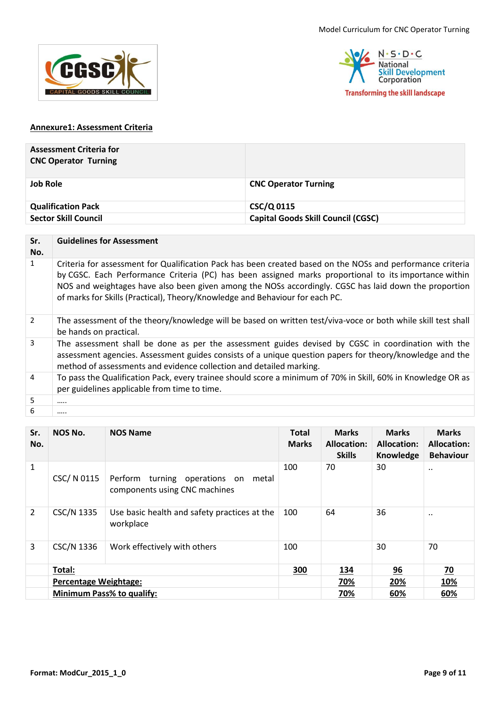



#### **Annexure1: Assessment Criteria**

| <b>Assessment Criteria for</b><br><b>CNC Operator Turning</b> |                                           |
|---------------------------------------------------------------|-------------------------------------------|
| <b>Job Role</b>                                               | <b>CNC Operator Turning</b>               |
| <b>Qualification Pack</b>                                     | CSC/Q 0115                                |
| <b>Sector Skill Council</b>                                   | <b>Capital Goods Skill Council (CGSC)</b> |

| Sr.<br>No.     | <b>Guidelines for Assessment</b>                                                                                                                                                                                                                                                                                                                                                                             |
|----------------|--------------------------------------------------------------------------------------------------------------------------------------------------------------------------------------------------------------------------------------------------------------------------------------------------------------------------------------------------------------------------------------------------------------|
| $\mathbf{1}$   | Criteria for assessment for Qualification Pack has been created based on the NOSs and performance criteria<br>by CGSC. Each Performance Criteria (PC) has been assigned marks proportional to its importance within<br>NOS and weightages have also been given among the NOSs accordingly. CGSC has laid down the proportion<br>of marks for Skills (Practical), Theory/Knowledge and Behaviour for each PC. |
| 2              | The assessment of the theory/knowledge will be based on written test/viva-voce or both while skill test shall<br>be hands on practical.                                                                                                                                                                                                                                                                      |
| 3              | The assessment shall be done as per the assessment guides devised by CGSC in coordination with the<br>assessment agencies. Assessment guides consists of a unique question papers for theory/knowledge and the<br>method of assessments and evidence collection and detailed marking.                                                                                                                        |
| $\overline{4}$ | To pass the Qualification Pack, every trainee should score a minimum of 70% in Skill, 60% in Knowledge OR as<br>per guidelines applicable from time to time.                                                                                                                                                                                                                                                 |
| 5              |                                                                                                                                                                                                                                                                                                                                                                                                              |
| 6              |                                                                                                                                                                                                                                                                                                                                                                                                              |

| Sr.<br>No.     | NOS No.                      | <b>NOS Name</b>                                                         | <b>Total</b><br><b>Marks</b> | <b>Marks</b><br><b>Allocation:</b><br><b>Skills</b> | <b>Marks</b><br><b>Allocation:</b><br>Knowledge | <b>Marks</b><br><b>Allocation:</b><br><b>Behaviour</b> |
|----------------|------------------------------|-------------------------------------------------------------------------|------------------------------|-----------------------------------------------------|-------------------------------------------------|--------------------------------------------------------|
| 1              | CSC/ N 0115                  | Perform turning operations on<br>metal<br>components using CNC machines | 100                          | 70                                                  | 30                                              |                                                        |
| $\overline{2}$ | <b>CSC/N 1335</b>            | Use basic health and safety practices at the<br>workplace               | 100                          | 64                                                  | 36                                              |                                                        |
| 3              | CSC/N 1336                   | Work effectively with others                                            | 100                          |                                                     | 30                                              | 70                                                     |
|                | Total:                       |                                                                         | 300                          | <u>134</u>                                          | 96                                              | $\overline{20}$                                        |
|                | <b>Percentage Weightage:</b> |                                                                         |                              | 70%                                                 | 20%                                             | <u>10%</u>                                             |
|                |                              | Minimum Pass% to qualify:                                               |                              | 70%                                                 | 60%                                             | 60%                                                    |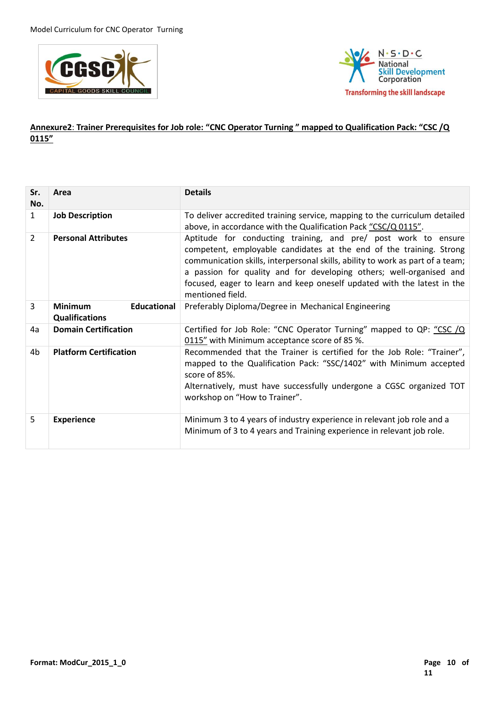



### **Annexure2**: **Trainer Prerequisites for Job role: "CNC Operator Turning " mapped to Qualification Pack: "CSC /Q 0115"**

| Sr.<br>No.     | Area                                                          | <b>Details</b>                                                                                                                                                                                                                                                                                                                                                                                |
|----------------|---------------------------------------------------------------|-----------------------------------------------------------------------------------------------------------------------------------------------------------------------------------------------------------------------------------------------------------------------------------------------------------------------------------------------------------------------------------------------|
| $\mathbf{1}$   | <b>Job Description</b>                                        | To deliver accredited training service, mapping to the curriculum detailed<br>above, in accordance with the Qualification Pack "CSC/Q 0115".                                                                                                                                                                                                                                                  |
| $\overline{2}$ | <b>Personal Attributes</b>                                    | Aptitude for conducting training, and pre/ post work to ensure<br>competent, employable candidates at the end of the training. Strong<br>communication skills, interpersonal skills, ability to work as part of a team;<br>a passion for quality and for developing others; well-organised and<br>focused, eager to learn and keep oneself updated with the latest in the<br>mentioned field. |
| 3              | <b>Educational</b><br><b>Minimum</b><br><b>Qualifications</b> | Preferably Diploma/Degree in Mechanical Engineering                                                                                                                                                                                                                                                                                                                                           |
| 4a             | <b>Domain Certification</b>                                   | Certified for Job Role: "CNC Operator Turning" mapped to QP: "CSC /Q<br>0115" with Minimum acceptance score of 85 %.                                                                                                                                                                                                                                                                          |
| 4b             | <b>Platform Certification</b>                                 | Recommended that the Trainer is certified for the Job Role: "Trainer",<br>mapped to the Qualification Pack: "SSC/1402" with Minimum accepted<br>score of 85%.<br>Alternatively, must have successfully undergone a CGSC organized TOT<br>workshop on "How to Trainer".                                                                                                                        |
| 5              | <b>Experience</b>                                             | Minimum 3 to 4 years of industry experience in relevant job role and a<br>Minimum of 3 to 4 years and Training experience in relevant job role.                                                                                                                                                                                                                                               |